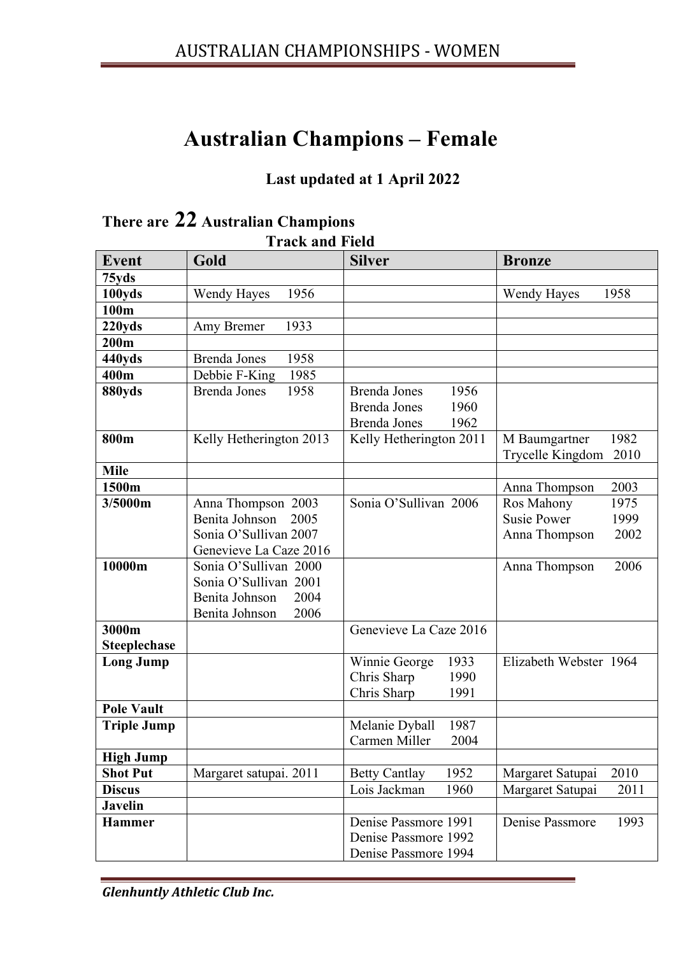## **Australian Champions – Female**

## **Last updated at 1 April 2022**

|                     | LTAUN AIIU FIUIU            |                                      |                            |
|---------------------|-----------------------------|--------------------------------------|----------------------------|
| <b>Event</b>        | Gold                        | <b>Silver</b>                        | <b>Bronze</b>              |
| 75yds               |                             |                                      |                            |
| 100yds              | 1956<br><b>Wendy Hayes</b>  |                                      | <b>Wendy Hayes</b><br>1958 |
| 100m                |                             |                                      |                            |
| 220yds              | 1933<br>Amy Bremer          |                                      |                            |
| 200m                |                             |                                      |                            |
| 440yds              | <b>Brenda Jones</b><br>1958 |                                      |                            |
| 400m                | Debbie F-King<br>1985       |                                      |                            |
| 880yds              | <b>Brenda Jones</b><br>1958 | 1956<br><b>Brenda Jones</b>          |                            |
|                     |                             | <b>Brenda Jones</b><br>1960          |                            |
|                     |                             | <b>Brenda Jones</b><br>1962          |                            |
| 800m                | Kelly Hetherington 2013     | Kelly Hetherington 2011              | 1982<br>M Baumgartner      |
|                     |                             |                                      | Trycelle Kingdom<br>2010   |
| <b>Mile</b>         |                             |                                      |                            |
| 1500m               |                             |                                      | 2003<br>Anna Thompson      |
| 3/5000m             | Anna Thompson 2003          | Sonia O'Sullivan 2006                | Ros Mahony<br>1975         |
|                     | Benita Johnson<br>2005      |                                      | <b>Susie Power</b><br>1999 |
|                     | Sonia O'Sullivan 2007       |                                      | 2002<br>Anna Thompson      |
|                     | Genevieve La Caze 2016      |                                      |                            |
| 10000m              | Sonia O'Sullivan 2000       |                                      | Anna Thompson<br>2006      |
|                     | Sonia O'Sullivan 2001       |                                      |                            |
|                     | Benita Johnson<br>2004      |                                      |                            |
| 3000m               | Benita Johnson<br>2006      | Genevieve La Caze 2016               |                            |
|                     |                             |                                      |                            |
| <b>Steeplechase</b> |                             | 1933                                 | Elizabeth Webster 1964     |
| <b>Long Jump</b>    |                             | Winnie George<br>Chris Sharp<br>1990 |                            |
|                     |                             | Chris Sharp<br>1991                  |                            |
| <b>Pole Vault</b>   |                             |                                      |                            |
| <b>Triple Jump</b>  |                             | 1987<br>Melanie Dyball               |                            |
|                     |                             | Carmen Miller<br>2004                |                            |
| <b>High Jump</b>    |                             |                                      |                            |
| <b>Shot Put</b>     | Margaret satupai. 2011      | 1952<br><b>Betty Cantlay</b>         | 2010<br>Margaret Satupai   |
| <b>Discus</b>       |                             | Lois Jackman<br>1960                 | Margaret Satupai<br>2011   |
| <b>Javelin</b>      |                             |                                      |                            |
| <b>Hammer</b>       |                             | Denise Passmore 1991                 | Denise Passmore<br>1993    |
|                     |                             | Denise Passmore 1992                 |                            |
|                     |                             | Denise Passmore 1994                 |                            |
|                     |                             |                                      |                            |

## **There are 22 Australian Champions Track and Field**

*Glenhuntly Athletic Club Inc.*